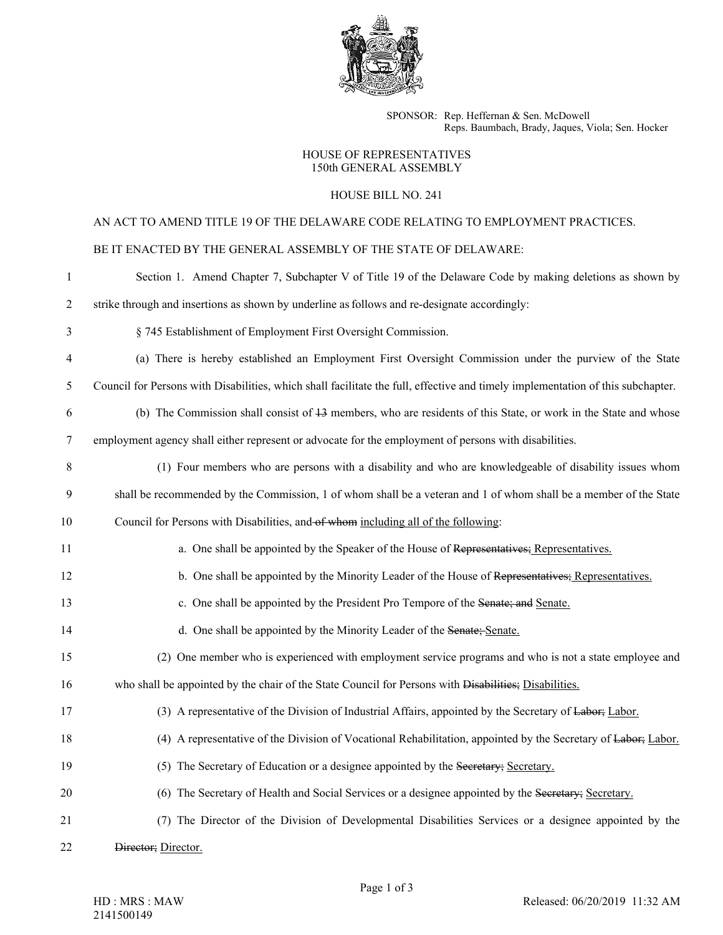

SPONSOR: Rep. Heffernan & Sen. McDowell Reps. Baumbach, Brady, Jaques, Viola; Sen. Hocker

### HOUSE OF REPRESENTATIVES 150th GENERAL ASSEMBLY

# HOUSE BILL NO. 241

# AN ACT TO AMEND TITLE 19 OF THE DELAWARE CODE RELATING TO EMPLOYMENT PRACTICES.

# BE IT ENACTED BY THE GENERAL ASSEMBLY OF THE STATE OF DELAWARE:

| 1              | Section 1. Amend Chapter 7, Subchapter V of Title 19 of the Delaware Code by making deletions as shown by                       |
|----------------|---------------------------------------------------------------------------------------------------------------------------------|
| $\overline{c}$ | strike through and insertions as shown by underline as follows and re-designate accordingly:                                    |
| 3              | § 745 Establishment of Employment First Oversight Commission.                                                                   |
| 4              | (a) There is hereby established an Employment First Oversight Commission under the purview of the State                         |
| 5              | Council for Persons with Disabilities, which shall facilitate the full, effective and timely implementation of this subchapter. |
| 6              | (b) The Commission shall consist of 43 members, who are residents of this State, or work in the State and whose                 |
| 7              | employment agency shall either represent or advocate for the employment of persons with disabilities.                           |
| 8              | (1) Four members who are persons with a disability and who are knowledgeable of disability issues whom                          |
| 9              | shall be recommended by the Commission, 1 of whom shall be a veteran and 1 of whom shall be a member of the State               |
| 10             | Council for Persons with Disabilities, and of whom including all of the following:                                              |
| 11             | a. One shall be appointed by the Speaker of the House of Representatives; Representatives.                                      |
| 12             | b. One shall be appointed by the Minority Leader of the House of Representatives; Representatives.                              |
| 13             | c. One shall be appointed by the President Pro Tempore of the Senate; and Senate.                                               |
| 14             | d. One shall be appointed by the Minority Leader of the Senate; Senate.                                                         |
| 15             | (2) One member who is experienced with employment service programs and who is not a state employee and                          |
| 16             | who shall be appointed by the chair of the State Council for Persons with Disabilities; Disabilities.                           |
| 17             | (3) A representative of the Division of Industrial Affairs, appointed by the Secretary of Labor.                                |
| 18             | (4) A representative of the Division of Vocational Rehabilitation, appointed by the Secretary of Labor.                         |
| 19             | (5) The Secretary of Education or a designee appointed by the Secretary; Secretary.                                             |
| 20             | (6) The Secretary of Health and Social Services or a designee appointed by the Secretary; Secretary.                            |
| 21             | (7) The Director of the Division of Developmental Disabilities Services or a designee appointed by the                          |
| 22             | Director; Director.                                                                                                             |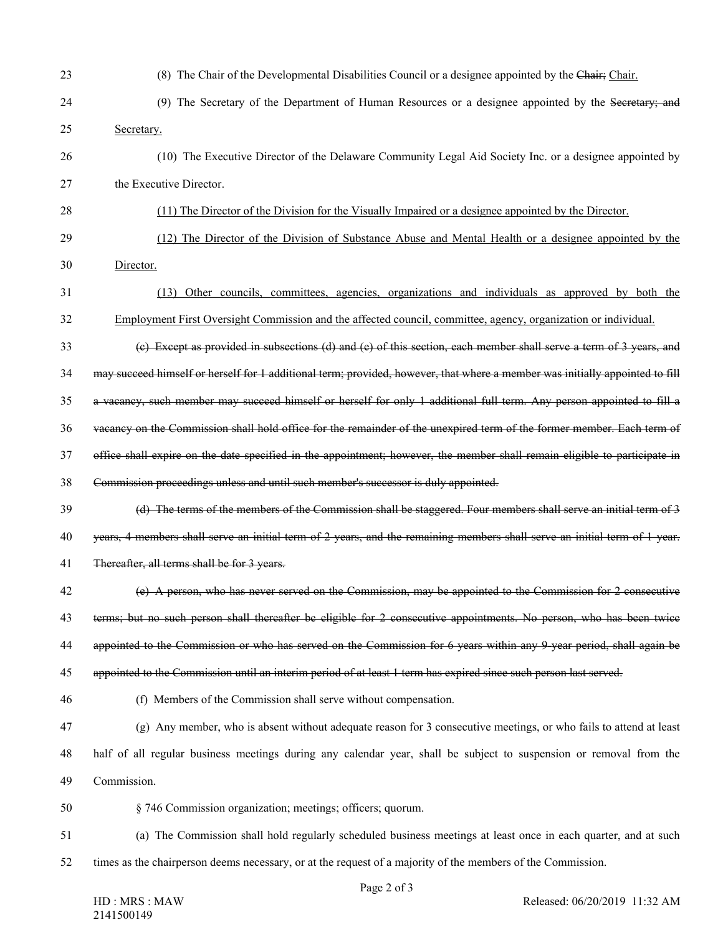| 23 | (8) The Chair of the Developmental Disabilities Council or a designee appointed by the Chair: Chair.                         |
|----|------------------------------------------------------------------------------------------------------------------------------|
| 24 | (9) The Secretary of the Department of Human Resources or a designee appointed by the Secretary; and                         |
| 25 | Secretary.                                                                                                                   |
| 26 | (10) The Executive Director of the Delaware Community Legal Aid Society Inc. or a designee appointed by                      |
| 27 | the Executive Director.                                                                                                      |
| 28 | (11) The Director of the Division for the Visually Impaired or a designee appointed by the Director.                         |
| 29 | (12) The Director of the Division of Substance Abuse and Mental Health or a designee appointed by the                        |
| 30 | Director.                                                                                                                    |
| 31 | (13) Other councils, committees, agencies, organizations and individuals as approved by both the                             |
| 32 | Employment First Oversight Commission and the affected council, committee, agency, organization or individual.               |
| 33 | (e) Except as provided in subsections (d) and (e) of this section, each member shall serve a term of 3 years, and            |
| 34 | may succeed himself or herself for 1 additional term; provided, however, that where a member was initially appointed to fill |
| 35 | a vacancy, such member may succeed himself or herself for only 1 additional full term. Any person appointed to fill a        |
| 36 | vacancy on the Commission shall hold office for the remainder of the unexpired term of the former member. Each term of       |
| 37 | office shall expire on the date specified in the appointment; however, the member shall remain eligible to participate in    |
| 38 | Commission proceedings unless and until such member's successor is duly appointed.                                           |
| 39 | (d) The terms of the members of the Commission shall be staggered. Four members shall serve an initial term of 3             |
| 40 | years, 4 members shall serve an initial term of 2 years, and the remaining members shall serve an initial term of 1 year.    |
| 41 | Thereafter, all terms shall be for 3 years.                                                                                  |
| 42 | (e) A person, who has never served on the Commission, may be appointed to the Commission for 2 consecutive                   |
| 43 | terms; but no such person shall thereafter be eligible for 2 consecutive appointments. No person, who has been twice         |
| 44 | appointed to the Commission or who has served on the Commission for 6 years within any 9 year period, shall again be         |
| 45 | appointed to the Commission until an interim period of at least 1 term has expired since such person last served.            |
| 46 | (f) Members of the Commission shall serve without compensation.                                                              |
| 47 | (g) Any member, who is absent without adequate reason for 3 consecutive meetings, or who fails to attend at least            |
| 48 | half of all regular business meetings during any calendar year, shall be subject to suspension or removal from the           |
| 49 | Commission.                                                                                                                  |
| 50 | § 746 Commission organization; meetings; officers; quorum.                                                                   |
| 51 | (a) The Commission shall hold regularly scheduled business meetings at least once in each quarter, and at such               |
| 52 | times as the chairperson deems necessary, or at the request of a majority of the members of the Commission.                  |

Page 2 of 3